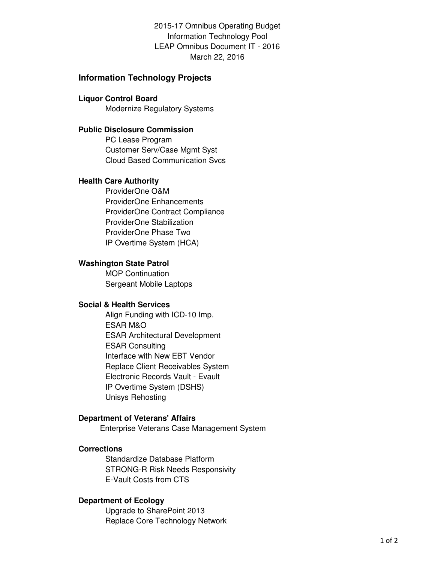2015-17 Omnibus Operating Budget Information Technology Pool LEAP Omnibus Document IT - 2016 March 22, 2016

# **Information Technology Projects**

#### **Liquor Control Board**

Modernize Regulatory Systems

# **Public Disclosure Commission**

PC Lease Program Customer Serv/Case Mgmt Syst Cloud Based Communication Svcs

#### **Health Care Authority**

ProviderOne O&M ProviderOne Enhancements ProviderOne Contract Compliance ProviderOne Stabilization ProviderOne Phase Two IP Overtime System (HCA)

# **Washington State Patrol**

MOP Continuation Sergeant Mobile Laptops

## **Social & Health Services**

Align Funding with ICD-10 Imp. ESAR M&O ESAR Architectural Development ESAR Consulting Interface with New EBT Vendor Replace Client Receivables System Electronic Records Vault - Evault IP Overtime System (DSHS) Unisys Rehosting

## **Department of Veterans' Affairs**

Enterprise Veterans Case Management System

## **Corrections**

Standardize Database Platform STRONG-R Risk Needs Responsivity E-Vault Costs from CTS

#### **Department of Ecology**

Upgrade to SharePoint 2013 Replace Core Technology Network